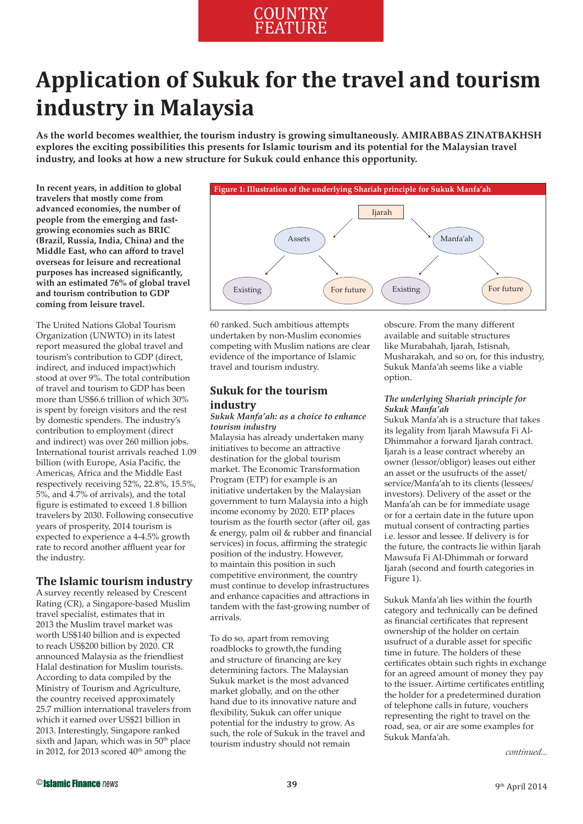# **COUNTRY** FEATURE

# **Application of Sukuk for the travel and tourism industry in Malaysia**

**As the world becomes wealthier, the tourism industry is growing simultaneously. AMIRABBAS ZINATBAKHSH explores the exciting possibilities this presents for Islamic tourism and its potential for the Malaysian travel industry, and looks at how a new structure for Sukuk could enhance this opportunity.** 

**In recent years, in addition to global travelers that mostly come from advanced economies, the number of people from the emerging and fastgrowing economies such as BRIC (Brazil, Russia, India, China) and the Middle East, who can afford to travel overseas for leisure and recreational**  purposes has increased significantly. **with an estimated 76% of global travel and tourism contribution to GDP coming from leisure travel.**

The United Nations Global Tourism Organization (UNWTO) in its latest report measured the global travel and tourism's contribution to GDP (direct, indirect, and induced impact)which stood at over 9%. The total contribution of travel and tourism to GDP has been more than US\$6.6 trillion of which 30% is spent by foreign visitors and the rest by domestic spenders. The industry's contribution to employment (direct and indirect) was over 260 million jobs. International tourist arrivals reached 1.09 billion (with Europe, Asia Pacific, the Americas, Africa and the Middle East respectively receiving 52%, 22.8%, 15.5%, 5%, and 4.7% of arrivals), and the total figure is estimated to exceed 1.8 billion travelers by 2030. Following consecutive years of prosperity, 2014 tourism is expected to experience a 4-4.5% growth rate to record another affluent year for the industry.

# **The Islamic tourism industry**

A survey recently released by Crescent Rating (CR), a Singapore-based Muslim travel specialist, estimates that in 2013 the Muslim travel market was worth US\$140 billion and is expected to reach US\$200 billion by 2020. CR announced Malaysia as the friendliest Halal destination for Muslim tourists. According to data compiled by the Ministry of Tourism and Agriculture, the country received approximately 25.7 million international travelers from which it earned over US\$21 billion in 2013. Interestingly, Singapore ranked sixth and Japan, which was in  $50<sup>th</sup>$  place in 2012, for  $2013$  scored  $40<sup>th</sup>$  among the



60 ranked. Such ambitious attempts undertaken by non-Muslim economies competing with Muslim nations are clear evidence of the importance of Islamic travel and tourism industry.

# **Sukuk for the tourism industry**

## *Sukuk Manfa'ah: as a choice to enhance tourism industry*

Malaysia has already undertaken many initiatives to become an attractive destination for the global tourism market. The Economic Transformation Program (ETP) for example is an initiative undertaken by the Malaysian government to turn Malaysia into a high income economy by 2020. ETP places tourism as the fourth sector (after oil, gas  $&$  energy, palm oil  $&$  rubber and financial services) in focus, affirming the strategic position of the industry. However, to maintain this position in such competitive environment, the country must continue to develop infrastructures and enhance capacities and attractions in tandem with the fast-growing number of arrivals.

To do so, apart from removing roadblocks to growth,the funding and structure of financing are key determining factors. The Malaysian Sukuk market is the most advanced market globally, and on the other hand due to its innovative nature and flexibility, Sukuk can offer unique potential for the industry to grow. As such, the role of Sukuk in the travel and tourism industry should not remain

obscure. From the many different available and suitable structures like Murabahah, Ijarah, Istisnah, Musharakah, and so on, for this industry, Sukuk Manfa'ah seems like a viable option.

# *The underlying Shariah principle for Sukuk Manfa'ah*

Sukuk Manfa'ah is a structure that takes its legality from Ijarah Mawsufa Fi Al-Dhimmahor a forward Ijarah contract. Ijarah is a lease contract whereby an owner (lessor/obligor) leases out either an asset or the usufructs of the asset/ service/Manfa'ah to its clients (lessees/ investors). Delivery of the asset or the Manfa'ah can be for immediate usage or for a certain date in the future upon mutual consent of contracting parties i.e. lessor and lessee. If delivery is for the future, the contracts lie within Ijarah Mawsufa Fi Al-Dhimmah or forward Ijarah (second and fourth categories in Figure 1).

Sukuk Manfa'ah lies within the fourth category and technically can be defined as financial certificates that represent ownership of the holder on certain usufruct of a durable asset for specific time in future. The holders of these certificates obtain such rights in exchange for an agreed amount of money they pay to the issuer. Airtime certificates entitling the holder for a predetermined duration of telephone calls in future, vouchers representing the right to travel on the road, sea, or air are some examples for Sukuk Manfa'ah.

*continued...*